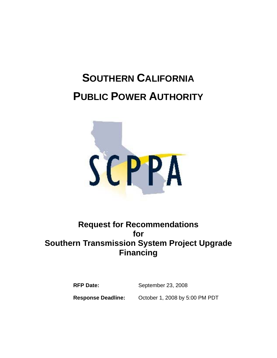# **SOUTHERN CALIFORNIA PUBLIC POWER AUTHORITY**



# **Request for Recommendations for Southern Transmission System Project Upgrade Financing**

**RFP Date:** September 23, 2008

**Response Deadline:** October 1, 2008 by 5:00 PM PDT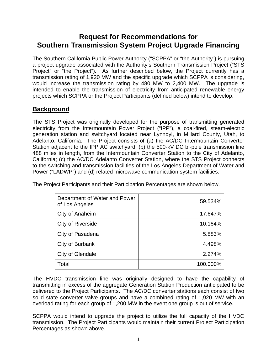# **Request for Recommendations for Southern Transmission System Project Upgrade Financing**

The Southern California Public Power Authority ("SCPPA" or "the Authority") is pursuing a project upgrade associated with the Authority's Southern Transmission Project ("STS Project" or "the Project"). As further described below, the Project currently has a transmission rating of 1,920 MW and the specific upgrade which SCPPA is considering, would increase the transmission rating by 480 MW to 2,400 MW. The upgrade is intended to enable the transmission of electricity from anticipated renewable energy projects which SCPPA or the Project Participants (defined below) intend to develop.

# **Background**

The STS Project was originally developed for the purpose of transmitting generated electricity from the Intermountain Power Project ("IPP"), a coal-fired, steam-electric generation station and switchyard located near Lynndyl, in Millard County, Utah, to Adelanto, California. The Project consists of (a) the AC/DC Intermountain Converter Station adjacent to the IPP AC switchyard; (b) the 500-kV DC bi-pole transmission line 488 miles in length, from the Intermountain Converter Station to the City of Adelanto, California; (c) the AC/DC Adelanto Converter Station, where the STS Project connects to the switching and transmission facilities of the Los Angeles Department of Water and Power ("LADWP") and (d) related microwave communication system facilities.

| Department of Water and Power<br>of Los Angeles | 59.534%  |
|-------------------------------------------------|----------|
| City of Anaheim                                 | 17.647%  |
| City of Riverside                               | 10.164%  |
| City of Pasadena                                | 5.883%   |
| City of Burbank                                 | 4.498%   |
| City of Glendale                                | 2.274%   |
| Total                                           | 100.000% |

The Project Participants and their Participation Percentages are shown below.

The HVDC transmission line was originally designed to have the capability of transmitting in excess of the aggregate Generation Station Production anticipated to be delivered to the Project Participants. The AC/DC converter stations each consist of two solid state converter valve groups and have a combined rating of 1,920 MW with an overload rating for each group of 1,200 MW in the event one group is out of service.

SCPPA would intend to upgrade the project to utilize the full capacity of the HVDC transmission. The Project Participants would maintain their current Project Participation Percentages as shown above.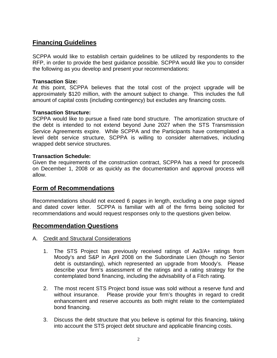## **Financing Guidelines**

SCPPA would like to establish certain guidelines to be utilized by respondents to the RFP, in order to provide the best guidance possible. SCPPA would like you to consider the following as you develop and present your recommendations:

#### **Transaction Size:**

At this point, SCPPA believes that the total cost of the project upgrade will be approximately \$120 million, with the amount subject to change. This includes the full amount of capital costs (including contingency) but excludes any financing costs.

#### **Transaction Structure:**

SCPPA would like to pursue a fixed rate bond structure. The amortization structure of the debt is intended to not extend beyond June 2027 when the STS Transmission Service Agreements expire. While SCPPA and the Participants have contemplated a level debt service structure, SCPPA is willing to consider alternatives, including wrapped debt service structures.

#### **Transaction Schedule:**

Given the requirements of the construction contract, SCPPA has a need for proceeds on December 1, 2008 or as quickly as the documentation and approval process will allow.

#### **Form of Recommendations**

Recommendations should not exceed 6 pages in length, excluding a one page signed and dated cover letter. SCPPA is familiar with all of the firms being solicited for recommendations and would request responses only to the questions given below.

#### **Recommendation Questions**

- A. Credit and Structural Considerations
	- 1. The STS Project has previously received ratings of Aa3/A+ ratings from Moody's and S&P in April 2008 on the Subordinate Lien (though no Senior debt is outstanding), which represented an upgrade from Moody's. Please describe your firm's assessment of the ratings and a rating strategy for the contemplated bond financing, including the advisability of a Fitch rating.
	- 2. The most recent STS Project bond issue was sold without a reserve fund and without insurance. Please provide your firm's thoughts in regard to credit enhancement and reserve accounts as both might relate to the contemplated bond financing.
	- 3. Discuss the debt structure that you believe is optimal for this financing, taking into account the STS project debt structure and applicable financing costs.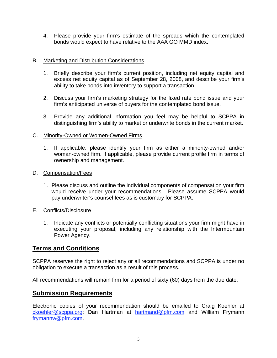4. Please provide your firm's estimate of the spreads which the contemplated bonds would expect to have relative to the AAA GO MMD index.

#### B. Marketing and Distribution Considerations

- 1. Briefly describe your firm's current position, including net equity capital and excess net equity capital as of September 28, 2008, and describe your firm's ability to take bonds into inventory to support a transaction.
- 2. Discuss your firm's marketing strategy for the fixed rate bond issue and your firm's anticipated universe of buyers for the contemplated bond issue.
- 3. Provide any additional information you feel may be helpful to SCPPA in distinguishing firm's ability to market or underwrite bonds in the current market.

#### C. Minority-Owned or Women-Owned Firms

 1. If applicable, please identify your firm as either a minority-owned and/or woman-owned firm. If applicable, please provide current profile firm in terms of ownership and management.

#### D. Compensation/Fees

1. Please discuss and outline the individual components of compensation your firm would receive under your recommendations. Please assume SCPPA would pay underwriter's counsel fees as is customary for SCPPA.

#### E. Conflicts/Disclosure

 1. Indicate any conflicts or potentially conflicting situations your firm might have in executing your proposal, including any relationship with the Intermountain Power Agency.

### **Terms and Conditions**

SCPPA reserves the right to reject any or all recommendations and SCPPA is under no obligation to execute a transaction as a result of this process.

All recommendations will remain firm for a period of sixty (60) days from the due date.

#### **Submission Requirements**

Electronic copies of your recommendation should be emailed to Craig Koehler at ckoehler@scppa.org; Dan Hartman at hartmand@pfm.com and William Frymann frymannw@pfm.com.